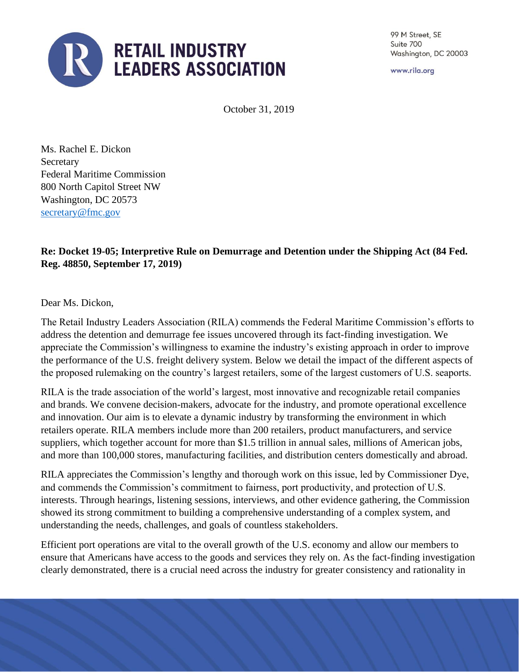

99 M Street, SE Suite 700 Washington, DC 20003

www.rila.org

October 31, 2019

Ms. Rachel E. Dickon **Secretary** Federal Maritime Commission 800 North Capitol Street NW Washington, DC 20573 [secretary@fmc.gov](mailto:secretary@fmc.gov)

### **Re: Docket 19-05; Interpretive Rule on Demurrage and Detention under the Shipping Act (84 Fed. Reg. 48850, September 17, 2019)**

Dear Ms. Dickon,

The Retail Industry Leaders Association (RILA) commends the Federal Maritime Commission's efforts to address the detention and demurrage fee issues uncovered through its fact-finding investigation. We appreciate the Commission's willingness to examine the industry's existing approach in order to improve the performance of the U.S. freight delivery system. Below we detail the impact of the different aspects of the proposed rulemaking on the country's largest retailers, some of the largest customers of U.S. seaports.

RILA is the trade association of the world's largest, most innovative and recognizable retail companies and brands. We convene decision-makers, advocate for the industry, and promote operational excellence and innovation. Our aim is to elevate a dynamic industry by transforming the environment in which retailers operate. RILA members include more than 200 retailers, product manufacturers, and service suppliers, which together account for more than \$1.5 trillion in annual sales, millions of American jobs, and more than 100,000 stores, manufacturing facilities, and distribution centers domestically and abroad.

RILA appreciates the Commission's lengthy and thorough work on this issue, led by Commissioner Dye, and commends the Commission's commitment to fairness, port productivity, and protection of U.S. interests. Through hearings, listening sessions, interviews, and other evidence gathering, the Commission showed its strong commitment to building a comprehensive understanding of a complex system, and understanding the needs, challenges, and goals of countless stakeholders.

Efficient port operations are vital to the overall growth of the U.S. economy and allow our members to ensure that Americans have access to the goods and services they rely on. As the fact-finding investigation clearly demonstrated, there is a crucial need across the industry for greater consistency and rationality in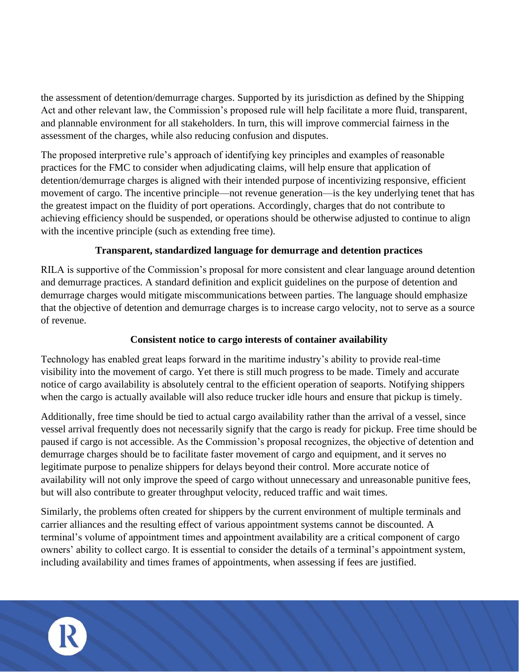the assessment of detention/demurrage charges. Supported by its jurisdiction as defined by the Shipping Act and other relevant law, the Commission's proposed rule will help facilitate a more fluid, transparent, and plannable environment for all stakeholders. In turn, this will improve commercial fairness in the assessment of the charges, while also reducing confusion and disputes.

The proposed interpretive rule's approach of identifying key principles and examples of reasonable practices for the FMC to consider when adjudicating claims, will help ensure that application of detention/demurrage charges is aligned with their intended purpose of incentivizing responsive, efficient movement of cargo. The incentive principle—not revenue generation—is the key underlying tenet that has the greatest impact on the fluidity of port operations. Accordingly, charges that do not contribute to achieving efficiency should be suspended, or operations should be otherwise adjusted to continue to align with the incentive principle (such as extending free time).

#### **Transparent, standardized language for demurrage and detention practices**

RILA is supportive of the Commission's proposal for more consistent and clear language around detention and demurrage practices. A standard definition and explicit guidelines on the purpose of detention and demurrage charges would mitigate miscommunications between parties. The language should emphasize that the objective of detention and demurrage charges is to increase cargo velocity, not to serve as a source of revenue.

#### **Consistent notice to cargo interests of container availability**

Technology has enabled great leaps forward in the maritime industry's ability to provide real-time visibility into the movement of cargo. Yet there is still much progress to be made. Timely and accurate notice of cargo availability is absolutely central to the efficient operation of seaports. Notifying shippers when the cargo is actually available will also reduce trucker idle hours and ensure that pickup is timely.

Additionally, free time should be tied to actual cargo availability rather than the arrival of a vessel, since vessel arrival frequently does not necessarily signify that the cargo is ready for pickup. Free time should be paused if cargo is not accessible. As the Commission's proposal recognizes, the objective of detention and demurrage charges should be to facilitate faster movement of cargo and equipment, and it serves no legitimate purpose to penalize shippers for delays beyond their control. More accurate notice of availability will not only improve the speed of cargo without unnecessary and unreasonable punitive fees, but will also contribute to greater throughput velocity, reduced traffic and wait times.

Similarly, the problems often created for shippers by the current environment of multiple terminals and carrier alliances and the resulting effect of various appointment systems cannot be discounted. A terminal's volume of appointment times and appointment availability are a critical component of cargo owners' ability to collect cargo. It is essential to consider the details of a terminal's appointment system, including availability and times frames of appointments, when assessing if fees are justified.

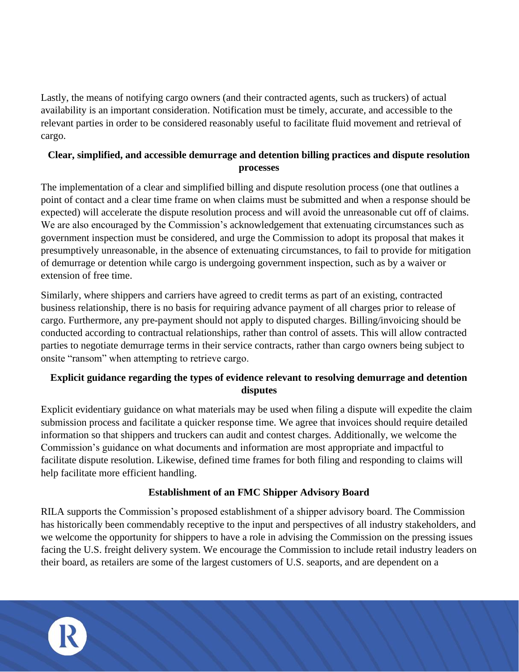Lastly, the means of notifying cargo owners (and their contracted agents, such as truckers) of actual availability is an important consideration. Notification must be timely, accurate, and accessible to the relevant parties in order to be considered reasonably useful to facilitate fluid movement and retrieval of cargo.

# **Clear, simplified, and accessible demurrage and detention billing practices and dispute resolution processes**

The implementation of a clear and simplified billing and dispute resolution process (one that outlines a point of contact and a clear time frame on when claims must be submitted and when a response should be expected) will accelerate the dispute resolution process and will avoid the unreasonable cut off of claims. We are also encouraged by the Commission's acknowledgement that extenuating circumstances such as government inspection must be considered, and urge the Commission to adopt its proposal that makes it presumptively unreasonable, in the absence of extenuating circumstances, to fail to provide for mitigation of demurrage or detention while cargo is undergoing government inspection, such as by a waiver or extension of free time.

Similarly, where shippers and carriers have agreed to credit terms as part of an existing, contracted business relationship, there is no basis for requiring advance payment of all charges prior to release of cargo. Furthermore, any pre-payment should not apply to disputed charges. Billing/invoicing should be conducted according to contractual relationships, rather than control of assets. This will allow contracted parties to negotiate demurrage terms in their service contracts, rather than cargo owners being subject to onsite "ransom" when attempting to retrieve cargo.

# **Explicit guidance regarding the types of evidence relevant to resolving demurrage and detention disputes**

Explicit evidentiary guidance on what materials may be used when filing a dispute will expedite the claim submission process and facilitate a quicker response time. We agree that invoices should require detailed information so that shippers and truckers can audit and contest charges. Additionally, we welcome the Commission's guidance on what documents and information are most appropriate and impactful to facilitate dispute resolution. Likewise, defined time frames for both filing and responding to claims will help facilitate more efficient handling.

### **Establishment of an FMC Shipper Advisory Board**

RILA supports the Commission's proposed establishment of a shipper advisory board. The Commission has historically been commendably receptive to the input and perspectives of all industry stakeholders, and we welcome the opportunity for shippers to have a role in advising the Commission on the pressing issues facing the U.S. freight delivery system. We encourage the Commission to include retail industry leaders on their board, as retailers are some of the largest customers of U.S. seaports, and are dependent on a